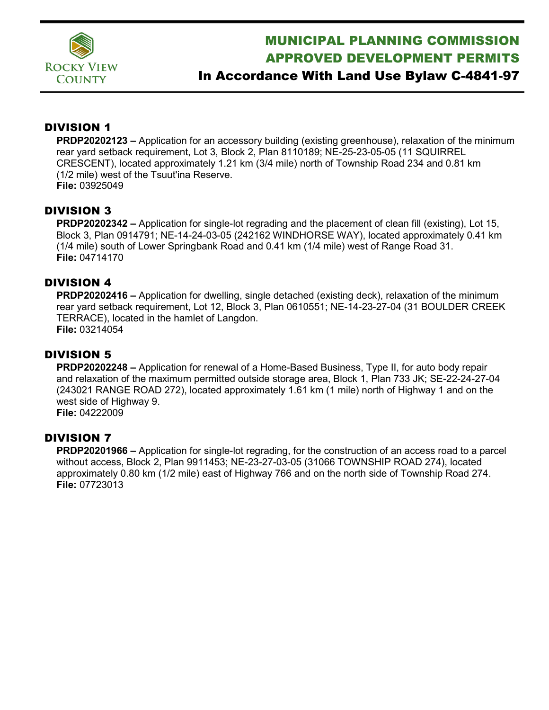

# MUNICIPAL PLANNING COMMISSION APPROVED DEVELOPMENT PERMITS

## In Accordance With Land Use Bylaw C-4841-97

### DIVISION 1

**PRDP20202123 –** Application for an accessory building (existing greenhouse), relaxation of the minimum rear yard setback requirement, Lot 3, Block 2, Plan 8110189; NE-25-23-05-05 (11 SQUIRREL CRESCENT), located approximately 1.21 km (3/4 mile) north of Township Road 234 and 0.81 km (1/2 mile) west of the Tsuut'ina Reserve. **File:** 03925049

#### DIVISION 3

**PRDP20202342 –** Application for single-lot regrading and the placement of clean fill (existing), Lot 15, Block 3, Plan 0914791; NE-14-24-03-05 (242162 WINDHORSE WAY), located approximately 0.41 km (1/4 mile) south of Lower Springbank Road and 0.41 km (1/4 mile) west of Range Road 31. **File:** 04714170

#### DIVISION 4

**PRDP20202416 –** Application for dwelling, single detached (existing deck), relaxation of the minimum rear yard setback requirement, Lot 12, Block 3, Plan 0610551; NE-14-23-27-04 (31 BOULDER CREEK TERRACE), located in the hamlet of Langdon. **File:** 03214054

#### DIVISION 5

**PRDP20202248 –** Application for renewal of a Home-Based Business, Type II, for auto body repair and relaxation of the maximum permitted outside storage area, Block 1, Plan 733 JK; SE-22-24-27-04 (243021 RANGE ROAD 272), located approximately 1.61 km (1 mile) north of Highway 1 and on the west side of Highway 9. **File:** 04222009

#### DIVISION 7

**PRDP20201966 –** Application for single-lot regrading, for the construction of an access road to a parcel without access, Block 2, Plan 9911453; NE-23-27-03-05 (31066 TOWNSHIP ROAD 274), located approximately 0.80 km (1/2 mile) east of Highway 766 and on the north side of Township Road 274. **File:** 07723013